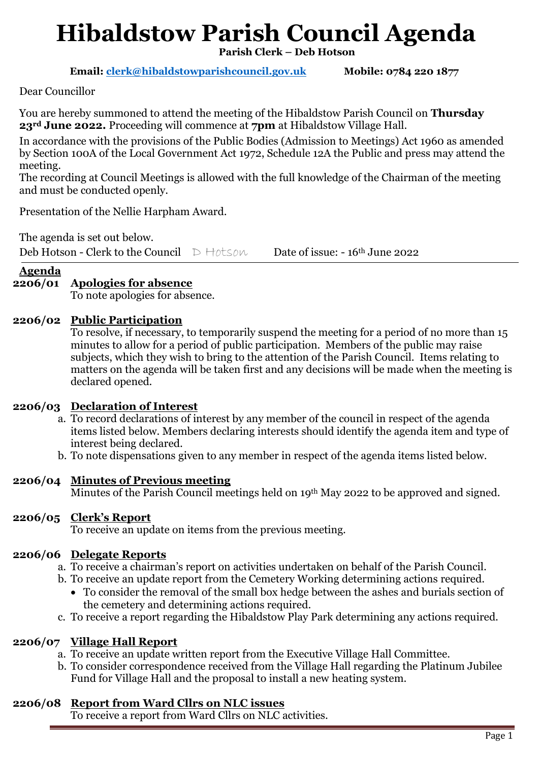# **Hibaldstow Parish Council Agenda**

**Parish Clerk – Deb Hotson**

 **Email: [clerk@hibaldstowparishcouncil.gov.uk](mailto:clerk@hibaldstowparishcouncil.gov.uk) Mobile: 0784 220 1877**

Dear Councillor

You are hereby summoned to attend the meeting of the Hibaldstow Parish Council on **Thursday 23rd June 2022.** Proceeding will commence at **7pm** at Hibaldstow Village Hall.

In accordance with the provisions of the Public Bodies (Admission to Meetings) Act 1960 as amended by Section 100A of the Local Government Act 1972, Schedule 12A the Public and press may attend the meeting.

The recording at Council Meetings is allowed with the full knowledge of the Chairman of the meeting and must be conducted openly.

Presentation of the Nellie Harpham Award.

The agenda is set out below.

Deb Hotson - Clerk to the Council  $D$  Hotson Date of issue: - 16<sup>th</sup> June 2022

**Agenda** 

# **2206/01 Apologies for absence**

To note apologies for absence.

## **2206/02 Public Participation**

To resolve, if necessary, to temporarily suspend the meeting for a period of no more than 15 minutes to allow for a period of public participation. Members of the public may raise subjects, which they wish to bring to the attention of the Parish Council. Items relating to matters on the agenda will be taken first and any decisions will be made when the meeting is declared opened.

#### **2206/03 Declaration of Interest**

- a. To record declarations of interest by any member of the council in respect of the agenda items listed below. Members declaring interests should identify the agenda item and type of interest being declared.
- b. To note dispensations given to any member in respect of the agenda items listed below.

# **2206/04 Minutes of Previous meeting**

Minutes of the Parish Council meetings held on 19<sup>th</sup> May 2022 to be approved and signed.

#### **2206/05 Clerk's Report**

To receive an update on items from the previous meeting.

#### **2206/06 Delegate Reports**

a. To receive a chairman's report on activities undertaken on behalf of the Parish Council.

- b. To receive an update report from the Cemetery Working determining actions required.
	- To consider the removal of the small box hedge between the ashes and burials section of the cemetery and determining actions required.
- c. To receive a report regarding the Hibaldstow Play Park determining any actions required.

# **2206/07 Village Hall Report**

- a. To receive an update written report from the Executive Village Hall Committee.
- b. To consider correspondence received from the Village Hall regarding the Platinum Jubilee Fund for Village Hall and the proposal to install a new heating system.

# **2206/08 Report from Ward Cllrs on NLC issues**

To receive a report from Ward Cllrs on NLC activities.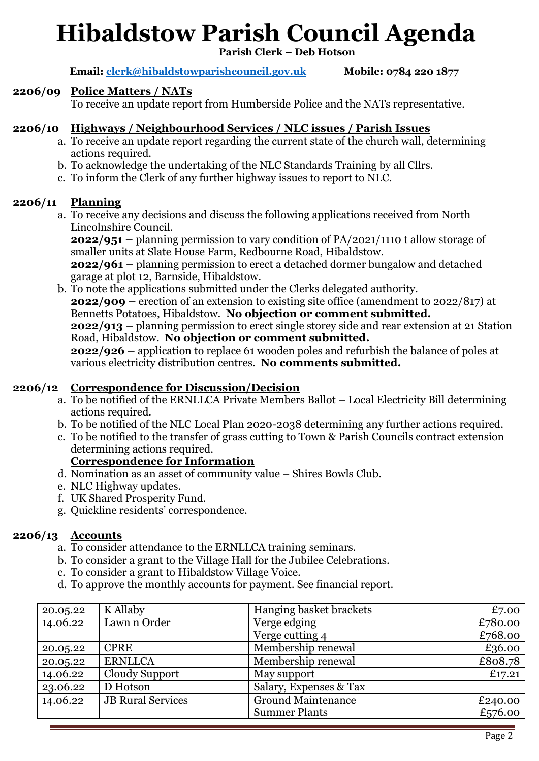# **Hibaldstow Parish Council Agenda**

**Parish Clerk – Deb Hotson**

 **Email: [clerk@hibaldstowparishcouncil.gov.uk](mailto:clerk@hibaldstowparishcouncil.gov.uk) Mobile: 0784 220 1877**

#### **2206/09 Police Matters / NATs**

To receive an update report from Humberside Police and the NATs representative.

## **2206/10 Highways / Neighbourhood Services / NLC issues / Parish Issues**

- a. To receive an update report regarding the current state of the church wall, determining actions required.
- b. To acknowledge the undertaking of the NLC Standards Training by all Cllrs.
- c. To inform the Clerk of any further highway issues to report to NLC.

## **2206/11 Planning**

a. To receive any decisions and discuss the following applications received from North Lincolnshire Council.

**2022/951 –** planning permission to vary condition of PA/2021/1110 t allow storage of smaller units at Slate House Farm, Redbourne Road, Hibaldstow. **2022/961 –** planning permission to erect a detached dormer bungalow and detached

garage at plot 12, Barnside, Hibaldstow. b. To note the applications submitted under the Clerks delegated authority.

**2022/909 –** erection of an extension to existing site office (amendment to 2022/817) at Bennetts Potatoes, Hibaldstow. **No objection or comment submitted. 2022/913 –** planning permission to erect single storey side and rear extension at 21 Station Road, Hibaldstow. **No objection or comment submitted. 2022/926 –** application to replace 61 wooden poles and refurbish the balance of poles at various electricity distribution centres. **No comments submitted.**

#### **2206/12 Correspondence for Discussion/Decision**

- a. To be notified of the ERNLLCA Private Members Ballot Local Electricity Bill determining actions required.
- b. To be notified of the NLC Local Plan 2020-2038 determining any further actions required.
- c. To be notified to the transfer of grass cutting to Town & Parish Councils contract extension determining actions required.

#### **Correspondence for Information**

- d. Nomination as an asset of community value Shires Bowls Club.
- e. NLC Highway updates.
- f. UK Shared Prosperity Fund.
- g. Quickline residents' correspondence.

# **2206/13 Accounts**

- a. To consider attendance to the ERNLLCA training seminars.
- b. To consider a grant to the Village Hall for the Jubilee Celebrations.
- c. To consider a grant to Hibaldstow Village Voice.
- d. To approve the monthly accounts for payment. See financial report.

| 20.05.22 | K Allaby                 | Hanging basket brackets   | £7.00   |
|----------|--------------------------|---------------------------|---------|
| 14.06.22 | Lawn n Order             | Verge edging              | £780.00 |
|          |                          | Verge cutting 4           | £768.00 |
| 20.05.22 | <b>CPRE</b>              | Membership renewal        | £36.00  |
| 20.05.22 | <b>ERNLLCA</b>           | Membership renewal        | £808.78 |
| 14.06.22 | Cloudy Support           | May support               | £17.21  |
| 23.06.22 | D Hotson                 | Salary, Expenses & Tax    |         |
| 14.06.22 | <b>JB</b> Rural Services | <b>Ground Maintenance</b> | £240.00 |
|          |                          | <b>Summer Plants</b>      | £576.00 |